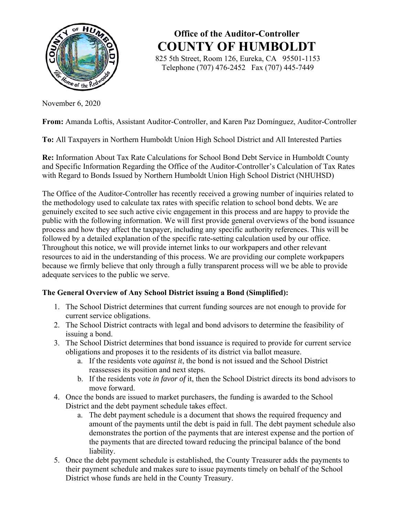

**Office of the Auditor-Controller COUNTY OF HUMBOLDT**

 825 5th Street, Room 126, Eureka, CA 95501-1153 Telephone (707) 476-2452 Fax (707) 445-7449

November 6, 2020

**From:** Amanda Loftis, Assistant Auditor-Controller, and Karen Paz Domínguez, Auditor-Controller

**To:** All Taxpayers in Northern Humboldt Union High School District and All Interested Parties

**Re:** Information About Tax Rate Calculations for School Bond Debt Service in Humboldt County and Specific Information Regarding the Office of the Auditor-Controller's Calculation of Tax Rates with Regard to Bonds Issued by Northern Humboldt Union High School District (NHUHSD)

The Office of the Auditor-Controller has recently received a growing number of inquiries related to the methodology used to calculate tax rates with specific relation to school bond debts. We are genuinely excited to see such active civic engagement in this process and are happy to provide the public with the following information. We will first provide general overviews of the bond issuance process and how they affect the taxpayer, including any specific authority references. This will be followed by a detailed explanation of the specific rate-setting calculation used by our office. Throughout this notice, we will provide internet links to our workpapers and other relevant resources to aid in the understanding of this process. We are providing our complete workpapers because we firmly believe that only through a fully transparent process will we be able to provide adequate services to the public we serve.

# **The General Overview of Any School District issuing a Bond (Simplified):**

- 1. The School District determines that current funding sources are not enough to provide for current service obligations.
- 2. The School District contracts with legal and bond advisors to determine the feasibility of issuing a bond.
- 3. The School District determines that bond issuance is required to provide for current service obligations and proposes it to the residents of its district via ballot measure.
	- a. If the residents vote *against it*, the bond is not issued and the School District reassesses its position and next steps.
	- b. If the residents vote *in favor of* it, then the School District directs its bond advisors to move forward.
- 4. Once the bonds are issued to market purchasers, the funding is awarded to the School District and the debt payment schedule takes effect.
	- a. The debt payment schedule is a document that shows the required frequency and amount of the payments until the debt is paid in full. The debt payment schedule also demonstrates the portion of the payments that are interest expense and the portion of the payments that are directed toward reducing the principal balance of the bond liability.
- 5. Once the debt payment schedule is established, the County Treasurer adds the payments to their payment schedule and makes sure to issue payments timely on behalf of the School District whose funds are held in the County Treasury.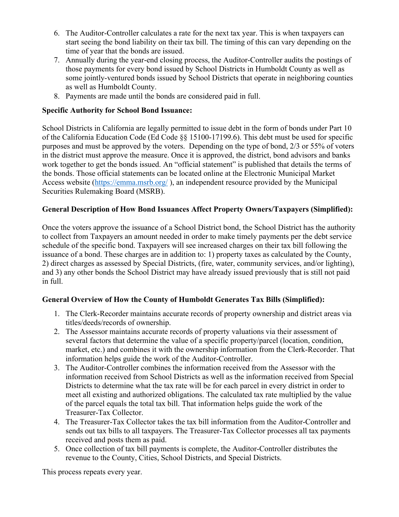- 6. The Auditor-Controller calculates a rate for the next tax year. This is when taxpayers can start seeing the bond liability on their tax bill. The timing of this can vary depending on the time of year that the bonds are issued.
- 7. Annually during the year-end closing process, the Auditor-Controller audits the postings of those payments for every bond issued by School Districts in Humboldt County as well as some jointly-ventured bonds issued by School Districts that operate in neighboring counties as well as Humboldt County.
- 8. Payments are made until the bonds are considered paid in full.

## **Specific Authority for School Bond Issuance:**

School Districts in California are legally permitted to issue debt in the form of bonds under Part 10 of the California Education Code (Ed Code §§ 15100-17199.6). This debt must be used for specific purposes and must be approved by the voters. Depending on the type of bond, 2/3 or 55% of voters in the district must approve the measure. Once it is approved, the district, bond advisors and banks work together to get the bonds issued. An "official statement" is published that details the terms of the bonds. Those official statements can be located online at the Electronic Municipal Market Access website (https://emma.msrb.org/), an independent resource provided by the Municipal Securities Rulemaking Board (MSRB).

## **General Description of How Bond Issuances Affect Property Owners/Taxpayers (Simplified):**

Once the voters approve the issuance of a School District bond, the School District has the authority to collect from Taxpayers an amount needed in order to make timely payments per the debt service schedule of the specific bond. Taxpayers will see increased charges on their tax bill following the issuance of a bond. These charges are in addition to: 1) property taxes as calculated by the County, 2) direct charges as assessed by Special Districts, (fire, water, community services, and/or lighting), and 3) any other bonds the School District may have already issued previously that is still not paid in full.

# **General Overview of How the County of Humboldt Generates Tax Bills (Simplified):**

- 1. The Clerk-Recorder maintains accurate records of property ownership and district areas via titles/deeds/records of ownership.
- 2. The Assessor maintains accurate records of property valuations via their assessment of several factors that determine the value of a specific property/parcel (location, condition, market, etc.) and combines it with the ownership information from the Clerk-Recorder. That information helps guide the work of the Auditor-Controller.
- 3. The Auditor-Controller combines the information received from the Assessor with the information received from School Districts as well as the information received from Special Districts to determine what the tax rate will be for each parcel in every district in order to meet all existing and authorized obligations. The calculated tax rate multiplied by the value of the parcel equals the total tax bill. That information helps guide the work of the Treasurer-Tax Collector.
- 4. The Treasurer-Tax Collector takes the tax bill information from the Auditor-Controller and sends out tax bills to all taxpayers. The Treasurer-Tax Collector processes all tax payments received and posts them as paid.
- 5. Once collection of tax bill payments is complete, the Auditor-Controller distributes the revenue to the County, Cities, School Districts, and Special Districts.

This process repeats every year.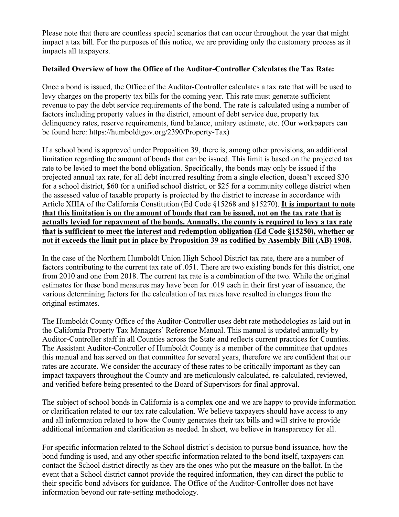Please note that there are countless special scenarios that can occur throughout the year that might impact a tax bill. For the purposes of this notice, we are providing only the customary process as it impacts all taxpayers.

### **Detailed Overview of how the Office of the Auditor-Controller Calculates the Tax Rate:**

Once a bond is issued, the Office of the Auditor-Controller calculates a tax rate that will be used to levy charges on the property tax bills for the coming year. This rate must generate sufficient revenue to pay the debt service requirements of the bond. The rate is calculated using a number of factors including property values in the district, amount of debt service due, property tax delinquency rates, reserve requirements, fund balance, unitary estimate, etc. (Our workpapers can be found here: https://humboldtgov.org/2390/Property-Tax)

If a school bond is approved under Proposition 39, there is, among other provisions, an additional limitation regarding the amount of bonds that can be issued. This limit is based on the projected tax rate to be levied to meet the bond obligation. Specifically, the bonds may only be issued if the projected annual tax rate, for all debt incurred resulting from a single election, doesn't exceed \$30 for a school district, \$60 for a unified school district, or \$25 for a community college district when the assessed value of taxable property is projected by the district to increase in accordance with Article XIIIA of the California Constitution (Ed Code §15268 and §15270). **It is important to note that this limitation is on the amount of bonds that can be issued, not on the tax rate that is actually levied for repayment of the bonds. Annually, the county is required to levy a tax rate that is sufficient to meet the interest and redemption obligation (Ed Code §15250), whether or not it exceeds the limit put in place by Proposition 39 as codified by Assembly Bill (AB) 1908.**

In the case of the Northern Humboldt Union High School District tax rate, there are a number of factors contributing to the current tax rate of .051. There are two existing bonds for this district, one from 2010 and one from 2018. The current tax rate is a combination of the two. While the original estimates for these bond measures may have been for .019 each in their first year of issuance, the various determining factors for the calculation of tax rates have resulted in changes from the original estimates.

The Humboldt County Office of the Auditor-Controller uses debt rate methodologies as laid out in the California Property Tax Managers' Reference Manual. This manual is updated annually by Auditor-Controller staff in all Counties across the State and reflects current practices for Counties. The Assistant Auditor-Controller of Humboldt County is a member of the committee that updates this manual and has served on that committee for several years, therefore we are confident that our rates are accurate. We consider the accuracy of these rates to be critically important as they can impact taxpayers throughout the County and are meticulously calculated, re-calculated, reviewed, and verified before being presented to the Board of Supervisors for final approval.

The subject of school bonds in California is a complex one and we are happy to provide information or clarification related to our tax rate calculation. We believe taxpayers should have access to any and all information related to how the County generates their tax bills and will strive to provide additional information and clarification as needed. In short, we believe in transparency for all.

For specific information related to the School district's decision to pursue bond issuance, how the bond funding is used, and any other specific information related to the bond itself, taxpayers can contact the School district directly as they are the ones who put the measure on the ballot. In the event that a School district cannot provide the required information, they can direct the public to their specific bond advisors for guidance. The Office of the Auditor-Controller does not have information beyond our rate-setting methodology.